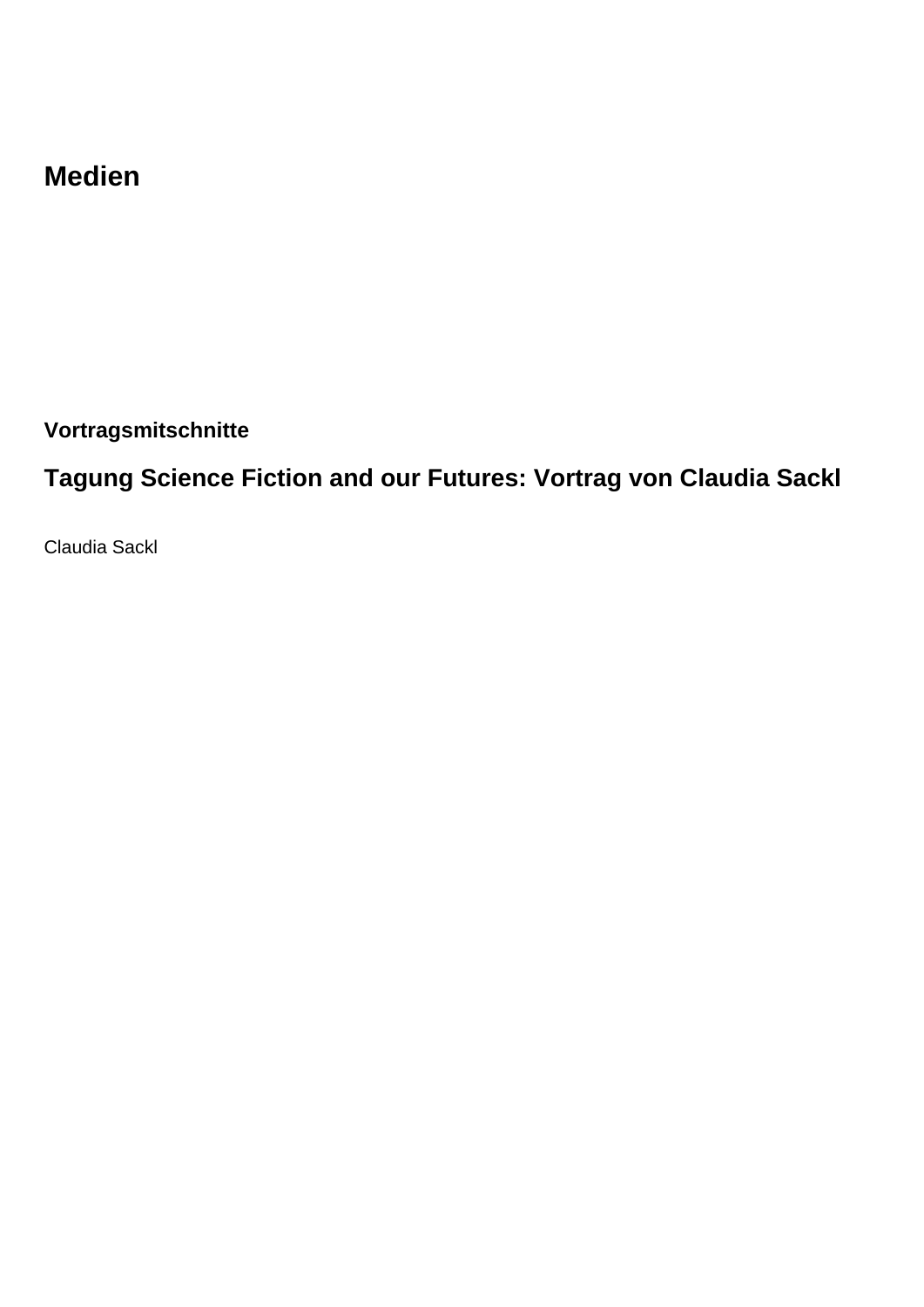## **Medien**

**Vortragsmitschnitte**

## **Tagung Science Fiction and our Futures: Vortrag von Claudia Sackl**

Claudia Sackl